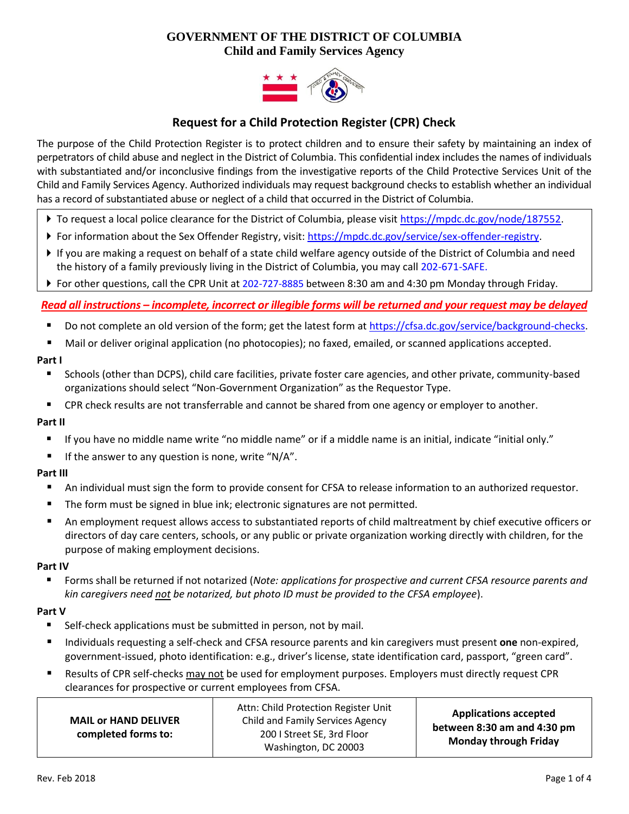# **GOVERNMENT OF THE DISTRICT OF COLUMBIA Child and Family Services Agency**



# **Request for a Child Protection Register (CPR) Check**

The purpose of the Child Protection Register is to protect children and to ensure their safety by maintaining an index of perpetrators of child abuse and neglect in the District of Columbia. This confidential index includes the names of individuals with substantiated and/or inconclusive findings from the investigative reports of the Child Protective Services Unit of the Child and Family Services Agency. Authorized individuals may request background checks to establish whether an individual has a record of substantiated abuse or neglect of a child that occurred in the District of Columbia.

- ▶ To request a local police clearance for the District of Columbia, please visit [https://mpdc.dc.gov/node/187552.](https://mpdc.dc.gov/node/187552)
- For information about the Sex Offender Registry, visit: [https://mpdc.dc.gov/service/sex-offender-registry.](https://mpdc.dc.gov/service/sex-offender-registry)
- If you are making a request on behalf of a state child welfare agency outside of the District of Columbia and need the history of a family previously living in the District of Columbia, you may call 202-671-SAFE.
- For other questions, call the CPR Unit at 202-727-8885 between 8:30 am and 4:30 pm Monday through Friday.

# *Read all instructions – incomplete, incorrect or illegible forms will be returned and your request may be delayed*

- Do not complete an old version of the form; get the latest form a[t https://cfsa.dc.gov/service/background-checks.](https://cfsa.dc.gov/service/background-checks)
- Mail or deliver original application (no photocopies); no faxed, emailed, or scanned applications accepted.

#### **Part I**

- Schools (other than DCPS), child care facilities, private foster care agencies, and other private, community-based organizations should select "Non-Government Organization" as the Requestor Type.
- **EXP** CPR check results are not transferrable and cannot be shared from one agency or employer to another.

#### **Part II**

- If you have no middle name write "no middle name" or if a middle name is an initial, indicate "initial only."
- If the answer to any question is none, write " $N/A$ ".

# **Part III**

- An individual must sign the form to provide consent for CFSA to release information to an authorized requestor.
- **The form must be signed in blue ink; electronic signatures are not permitted.**
- An employment request allows access to substantiated reports of child maltreatment by chief executive officers or directors of day care centers, schools, or any public or private organization working directly with children, for the purpose of making employment decisions.

#### **Part IV**

 Forms shall be returned if not notarized (*Note: applications for prospective and current CFSA resource parents and kin caregivers need not be notarized, but photo ID must be provided to the CFSA employee*).

#### **Part V**

- **Self-check applications must be submitted in person, not by mail.**
- Individuals requesting a self-check and CFSA resource parents and kin caregivers must present **one** non-expired, government-issued, photo identification: e.g., driver's license, state identification card, passport, "green card".
- Results of CPR self-checks may not be used for employment purposes. Employers must directly request CPR clearances for prospective or current employees from CFSA.

| <b>MAIL or HAND DELIVER</b><br>completed forms to: | Attn: Child Protection Register Unit<br>Child and Family Services Agency<br>200 I Street SE, 3rd Floor<br>Washington, DC 20003 | <b>Applications accepted</b><br>between 8:30 am and 4:30 pm<br><b>Monday through Friday</b> |
|----------------------------------------------------|--------------------------------------------------------------------------------------------------------------------------------|---------------------------------------------------------------------------------------------|
|----------------------------------------------------|--------------------------------------------------------------------------------------------------------------------------------|---------------------------------------------------------------------------------------------|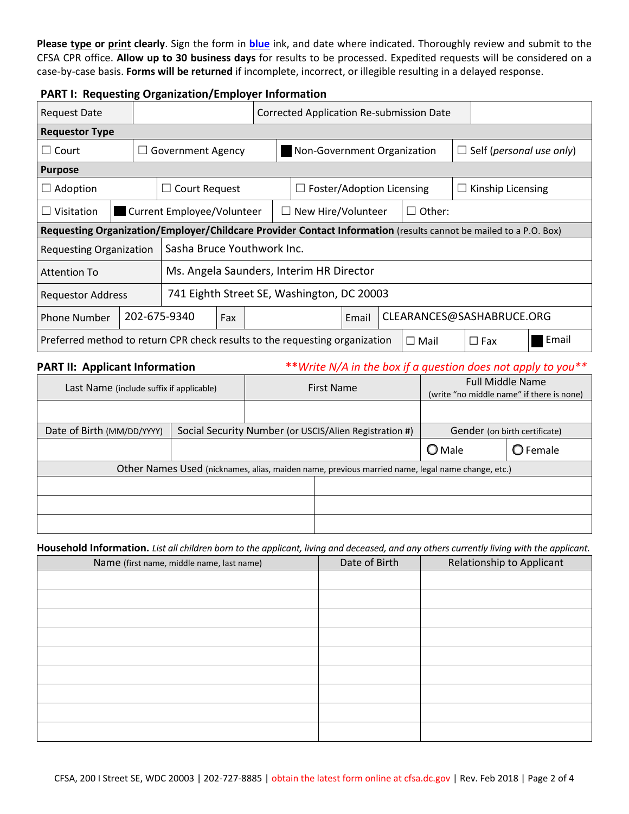**Please type or print clearly**. Sign the form in **blue** ink, and date where indicated. Thoroughly review and submit to the CFSA CPR office. **Allow up to 30 business days** for results to be processed. Expedited requests will be considered on a case-by-case basis. **Forms will be returned** if incomplete, incorrect, or illegible resulting in a delayed response.

# **PART I: Requesting Organization/Employer Information**

| <b>Request Date</b>                                                                                                  |                                                                        |                                                                             |     |                                    | <b>Corrected Application Re-submission Date</b> |  |  |                                 |  |  |  |  |
|----------------------------------------------------------------------------------------------------------------------|------------------------------------------------------------------------|-----------------------------------------------------------------------------|-----|------------------------------------|-------------------------------------------------|--|--|---------------------------------|--|--|--|--|
| <b>Requestor Type</b>                                                                                                |                                                                        |                                                                             |     |                                    |                                                 |  |  |                                 |  |  |  |  |
| Court<br>$\Box$                                                                                                      | <b>Government Agency</b>                                               |                                                                             |     | Non-Government Organization        |                                                 |  |  | $\Box$ Self (personal use only) |  |  |  |  |
| <b>Purpose</b>                                                                                                       |                                                                        |                                                                             |     |                                    |                                                 |  |  |                                 |  |  |  |  |
| Adoption                                                                                                             |                                                                        | Court Request                                                               |     |                                    | Foster/Adoption Licensing                       |  |  | Kinship Licensing<br>$\Box$     |  |  |  |  |
| Visitation<br>l.                                                                                                     |                                                                        | Current Employee/Volunteer<br>New Hire/Volunteer<br>$\Box$ Other:<br>$\Box$ |     |                                    |                                                 |  |  |                                 |  |  |  |  |
| Requesting Organization/Employer/Childcare Provider Contact Information (results cannot be mailed to a P.O. Box)     |                                                                        |                                                                             |     |                                    |                                                 |  |  |                                 |  |  |  |  |
| Sasha Bruce Youthwork Inc.<br><b>Requesting Organization</b>                                                         |                                                                        |                                                                             |     |                                    |                                                 |  |  |                                 |  |  |  |  |
| <b>Attention To</b>                                                                                                  | Ms. Angela Saunders, Interim HR Director                               |                                                                             |     |                                    |                                                 |  |  |                                 |  |  |  |  |
|                                                                                                                      | 741 Eighth Street SE, Washington, DC 20003<br><b>Requestor Address</b> |                                                                             |     |                                    |                                                 |  |  |                                 |  |  |  |  |
| <b>Phone Number</b>                                                                                                  |                                                                        | 202-675-9340                                                                | Fax | CLEARANCES@SASHABRUCE.ORG<br>Email |                                                 |  |  |                                 |  |  |  |  |
| Email<br>Preferred method to return CPR check results to the requesting organization<br>$\Box$ Fax<br>$\square$ Mail |                                                                        |                                                                             |     |                                    |                                                 |  |  |                                 |  |  |  |  |

**PART II: Applicant Information \*\*** *Write N/A in the box if a question does not apply to you\*\** 

| Last Name (include suffix if applicable) |                 | First Name                                                                                       | <b>Full Middle Name</b><br>(write "no middle name" if there is none) |  |  |
|------------------------------------------|-----------------|--------------------------------------------------------------------------------------------------|----------------------------------------------------------------------|--|--|
|                                          |                 |                                                                                                  |                                                                      |  |  |
| Date of Birth (MM/DD/YYYY)               |                 | Social Security Number (or USCIS/Alien Registration #)                                           | Gender (on birth certificate)                                        |  |  |
|                                          | $\bigcirc$ Male | $\bigcirc$ Female                                                                                |                                                                      |  |  |
|                                          |                 | Other Names Used (nicknames, alias, maiden name, previous married name, legal name change, etc.) |                                                                      |  |  |
|                                          |                 |                                                                                                  |                                                                      |  |  |
|                                          |                 |                                                                                                  |                                                                      |  |  |
|                                          |                 |                                                                                                  |                                                                      |  |  |

**Household Information.** *List all children born to the applicant, living and deceased, and any others currently living with the applicant.*

| Name (first name, middle name, last name) | Date of Birth | Relationship to Applicant |
|-------------------------------------------|---------------|---------------------------|
|                                           |               |                           |
|                                           |               |                           |
|                                           |               |                           |
|                                           |               |                           |
|                                           |               |                           |
|                                           |               |                           |
|                                           |               |                           |
|                                           |               |                           |
|                                           |               |                           |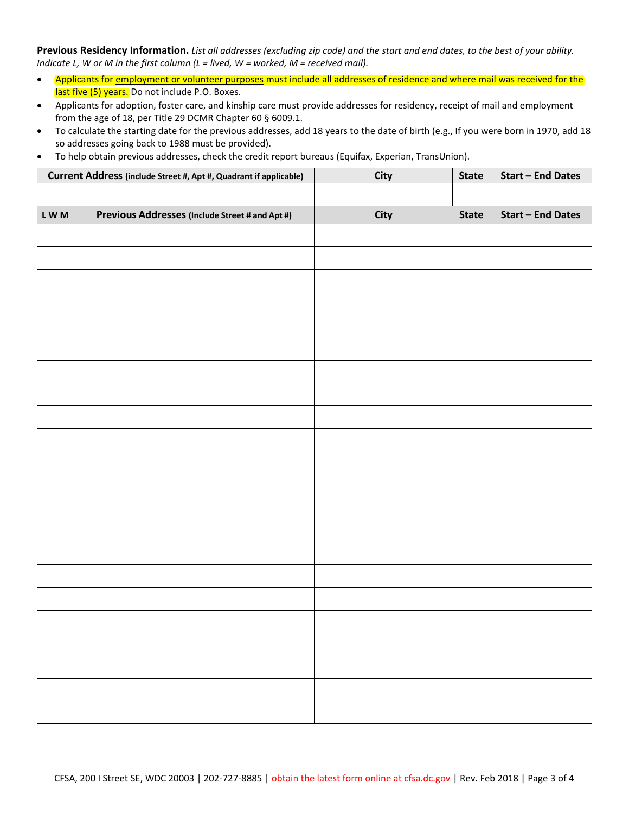**Previous Residency Information.** *List all addresses (excluding zip code) and the start and end dates, to the best of your ability. Indicate L, W or M in the first column (L = lived, W = worked, M = received mail).* 

- Applicants for employment or volunteer purposes must include all addresses of residence and where mail was received for the last five (5) years. Do not include P.O. Boxes.
- Applicants for adoption, foster care, and kinship care must provide addresses for residency, receipt of mail and employment from the age of 18, per Title 29 DCMR Chapter 60 § 6009.1.
- To calculate the starting date for the previous addresses, add 18 years to the date of birth (e.g., If you were born in 1970, add 18 so addresses going back to 1988 must be provided).
- **Current Address (include Street #, Apt #, Quadrant if applicable) City State Start – End Dates L W M Previous Addresses (Include Street # and Apt #) City State Start – End Dates**
- To help obtain previous addresses, check the credit report bureaus (Equifax, Experian, TransUnion).